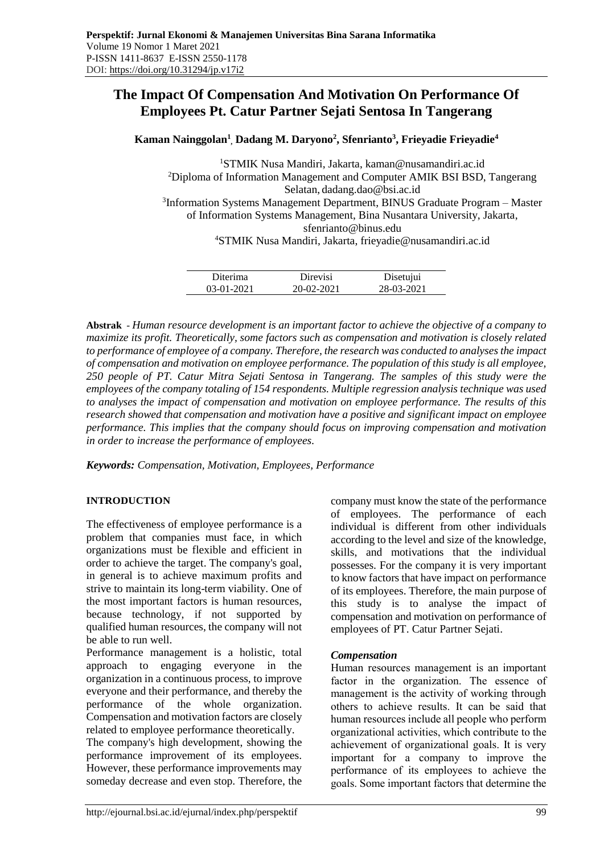# **The Impact Of Compensation And Motivation On Performance Of Employees Pt. Catur Partner Sejati Sentosa In Tangerang**

**Kaman Nainggolan<sup>1</sup> , Dadang M. Daryono<sup>2</sup> , Sfenrianto<sup>3</sup> , Frieyadie Frieyadie<sup>4</sup>**

<sup>1</sup>STMIK Nusa Mandiri, Jakarta, kaman@nusamandiri.ac.id <sup>2</sup>Diploma of Information Management and Computer AMIK BSI BSD, Tangerang Selatan, dadang.dao@bsi.ac.id <sup>3</sup>Information Systems Management Department, BINUS Graduate Program - Master of Information Systems Management, Bina Nusantara University, Jakarta, [sfenrianto@binus.edu](mailto:sfenrianto@binus.edu) <sup>4</sup>STMIK Nusa Mandiri, Jakarta, [frieyadie@nusamandiri.ac.id](mailto:frieyadie@nusamandiri.ac.id)

| Diterima   | Direvisi     | Disetujui  |  |
|------------|--------------|------------|--|
| 03-01-2021 | $20-02-2021$ | 28-03-2021 |  |

**Abstrak** - *Human resource development is an important factor to achieve the objective of a company to maximize its profit. Theoretically, some factors such as compensation and motivation is closely related to performance of employee of a company. Therefore, the research was conducted to analyses the impact of compensation and motivation on employee performance. The population of this study is all employee, 250 people of PT. Catur Mitra Sejati Sentosa in Tangerang. The samples of this study were the employees of the company totaling of 154 respondents. Multiple regression analysis technique was used to analyses the impact of compensation and motivation on employee performance. The results of this research showed that compensation and motivation have a positive and significant impact on employee performance. This implies that the company should focus on improving compensation and motivation in order to increase the performance of employees.*

*Keywords: Compensation, Motivation, Employees, Performance*

# **INTRODUCTION**

The effectiveness of employee performance is a problem that companies must face, in which organizations must be flexible and efficient in order to achieve the target. The company's goal, in general is to achieve maximum profits and strive to maintain its long-term viability. One of the most important factors is human resources, because technology, if not supported by qualified human resources, the company will not be able to run well.

Performance management is a holistic, total approach to engaging everyone in the organization in a continuous process, to improve everyone and their performance, and thereby the performance of the whole organization. Compensation and motivation factors are closely related to employee performance theoretically.

The company's high development, showing the performance improvement of its employees. However, these performance improvements may someday decrease and even stop. Therefore, the company must know the state of the performance of employees. The performance of each individual is different from other individuals according to the level and size of the knowledge, skills, and motivations that the individual possesses. For the company it is very important to know factors that have impact on performance of its employees. Therefore, the main purpose of this study is to analyse the impact of compensation and motivation on performance of employees of PT. Catur Partner Sejati.

# *Compensation*

Human resources management is an important factor in the organization. The essence of management is the activity of working through others to achieve results. It can be said that human resources include all people who perform organizational activities, which contribute to the achievement of organizational goals. It is very important for a company to improve the performance of its employees to achieve the goals. Some important factors that determine the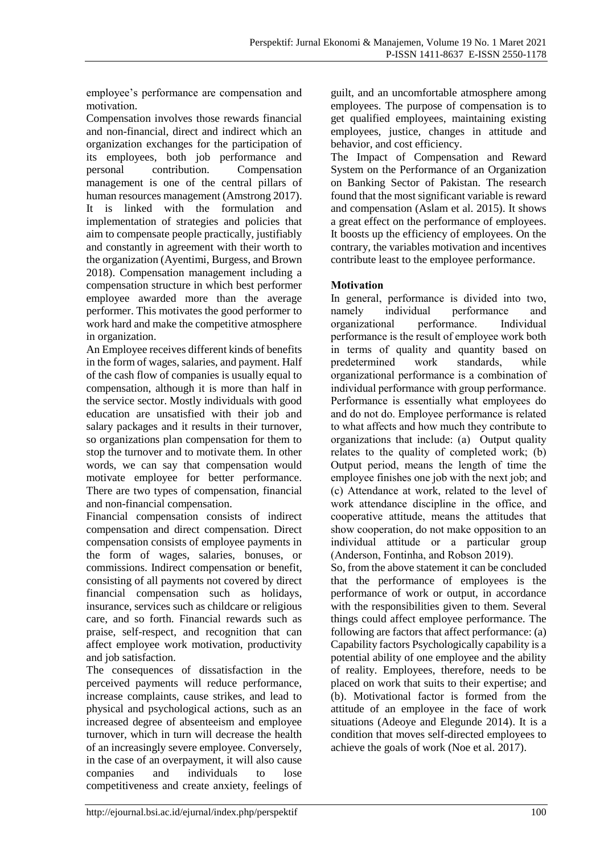employee's performance are compensation and motivation.

Compensation involves those rewards financial and non-financial, direct and indirect which an organization exchanges for the participation of its employees, both job performance and personal contribution. Compensation management is one of the central pillars of human resources management (Amstrong 2017). It is linked with the formulation and implementation of strategies and policies that aim to compensate people practically, justifiably and constantly in agreement with their worth to the organization (Ayentimi, Burgess, and Brown 2018). Compensation management including a compensation structure in which best performer employee awarded more than the average performer. This motivates the good performer to work hard and make the competitive atmosphere in organization.

An Employee receives different kinds of benefits in the form of wages, salaries, and payment. Half of the cash flow of companies is usually equal to compensation, although it is more than half in the service sector. Mostly individuals with good education are unsatisfied with their job and salary packages and it results in their turnover, so organizations plan compensation for them to stop the turnover and to motivate them. In other words, we can say that compensation would motivate employee for better performance. There are two types of compensation, financial and non-financial compensation.

Financial compensation consists of indirect compensation and direct compensation. Direct compensation consists of employee payments in the form of wages, salaries, bonuses, or commissions. Indirect compensation or benefit, consisting of all payments not covered by direct financial compensation such as holidays, insurance, services such as childcare or religious care, and so forth. Financial rewards such as praise, self-respect, and recognition that can affect employee work motivation, productivity and job satisfaction.

The consequences of dissatisfaction in the perceived payments will reduce performance, increase complaints, cause strikes, and lead to physical and psychological actions, such as an increased degree of absenteeism and employee turnover, which in turn will decrease the health of an increasingly severe employee. Conversely, in the case of an overpayment, it will also cause companies and individuals to lose competitiveness and create anxiety, feelings of guilt, and an uncomfortable atmosphere among employees. The purpose of compensation is to get qualified employees, maintaining existing employees, justice, changes in attitude and behavior, and cost efficiency.

The Impact of Compensation and Reward System on the Performance of an Organization on Banking Sector of Pakistan. The research found that the most significant variable is reward and compensation (Aslam et al. 2015). It shows a great effect on the performance of employees. It boosts up the efficiency of employees. On the contrary, the variables motivation and incentives contribute least to the employee performance.

# **Motivation**

In general, performance is divided into two, namely individual performance and organizational performance. Individual performance is the result of employee work both in terms of quality and quantity based on predetermined work standards, while organizational performance is a combination of individual performance with group performance. Performance is essentially what employees do and do not do. Employee performance is related to what affects and how much they contribute to organizations that include: (a) Output quality relates to the quality of completed work; (b) Output period, means the length of time the employee finishes one job with the next job; and (c) Attendance at work, related to the level of work attendance discipline in the office, and cooperative attitude, means the attitudes that show cooperation, do not make opposition to an individual attitude or a particular group (Anderson, Fontinha, and Robson 2019).

So, from the above statement it can be concluded that the performance of employees is the performance of work or output, in accordance with the responsibilities given to them. Several things could affect employee performance. The following are factors that affect performance: (a) Capability factors Psychologically capability is a potential ability of one employee and the ability of reality. Employees, therefore, needs to be placed on work that suits to their expertise; and (b). Motivational factor is formed from the attitude of an employee in the face of work situations (Adeoye and Elegunde 2014). It is a condition that moves self-directed employees to achieve the goals of work (Noe et al. 2017).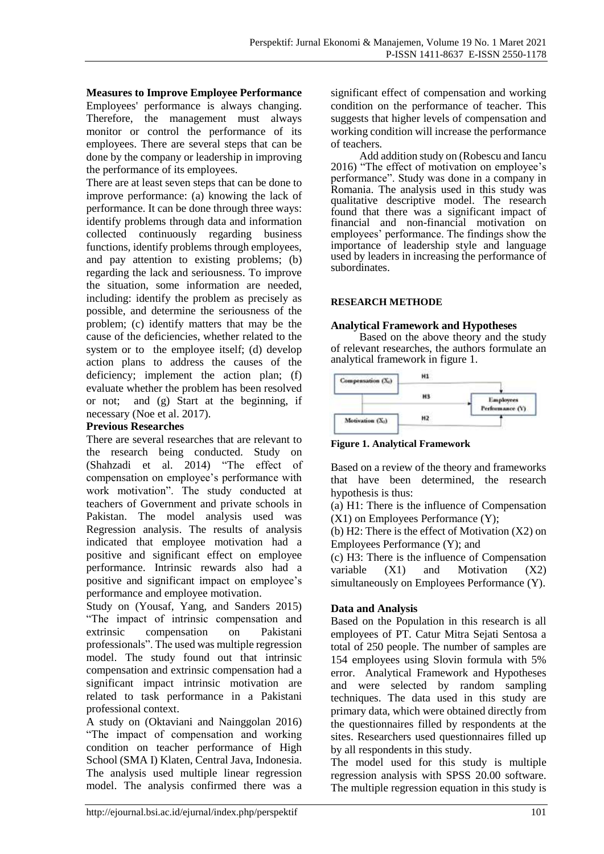### **Measures to Improve Employee Performance**

Employees' performance is always changing. Therefore, the management must always monitor or control the performance of its employees. There are several steps that can be done by the company or leadership in improving the performance of its employees.

There are at least seven steps that can be done to improve performance: (a) knowing the lack of performance. It can be done through three ways: identify problems through data and information collected continuously regarding business functions, identify problems through employees, and pay attention to existing problems; (b) regarding the lack and seriousness. To improve the situation, some information are needed, including: identify the problem as precisely as possible, and determine the seriousness of the problem; (c) identify matters that may be the cause of the deficiencies, whether related to the system or to the employee itself; (d) develop action plans to address the causes of the deficiency; implement the action plan; (f) evaluate whether the problem has been resolved or not; and (g) Start at the beginning, if necessary (Noe et al. 2017).

#### **Previous Researches**

There are several researches that are relevant to the research being conducted. Study on (Shahzadi et al. 2014) "The effect of compensation on employee's performance with work motivation". The study conducted at teachers of Government and private schools in Pakistan. The model analysis used was Regression analysis. The results of analysis indicated that employee motivation had a positive and significant effect on employee performance. Intrinsic rewards also had a positive and significant impact on employee's performance and employee motivation.

Study on (Yousaf, Yang, and Sanders 2015) "The impact of intrinsic compensation and extrinsic compensation on Pakistani professionals". The used was multiple regression model. The study found out that intrinsic compensation and extrinsic compensation had a significant impact intrinsic motivation are related to task performance in a Pakistani professional context.

A study on (Oktaviani and Nainggolan 2016) "The impact of compensation and working condition on teacher performance of High School (SMA I) Klaten, Central Java, Indonesia. The analysis used multiple linear regression model. The analysis confirmed there was a significant effect of compensation and working condition on the performance of teacher. This suggests that higher levels of compensation and working condition will increase the performance of teachers.

Add addition study on (Robescu and Iancu 2016) "The effect of motivation on employee's performance". Study was done in a company in Romania. The analysis used in this study was qualitative descriptive model. The research found that there was a significant impact of financial and non-financial motivation on employees' performance. The findings show the importance of leadership style and language used by leaders in increasing the performance of subordinates.

# **RESEARCH METHODE**

#### **Analytical Framework and Hypotheses**

Based on the above theory and the study of relevant researches, the authors formulate an analytical framework in figure 1.



**Figure 1. Analytical Framework**

Based on a review of the theory and frameworks that have been determined, the research hypothesis is thus:

(a) H1: There is the influence of Compensation (X1) on Employees Performance (Y);

(b) H2: There is the effect of Motivation (X2) on Employees Performance (Y); and

(c) H3: There is the influence of Compensation variable (X1) and Motivation (X2) simultaneously on Employees Performance (Y).

# **Data and Analysis**

Based on the Population in this research is all employees of PT. Catur Mitra Sejati Sentosa a total of 250 people. The number of samples are 154 employees using Slovin formula with 5% error. Analytical Framework and Hypotheses and were selected by random sampling techniques. The data used in this study are primary data, which were obtained directly from the questionnaires filled by respondents at the sites. Researchers used questionnaires filled up by all respondents in this study.

The model used for this study is multiple regression analysis with SPSS 20.00 software. The multiple regression equation in this study is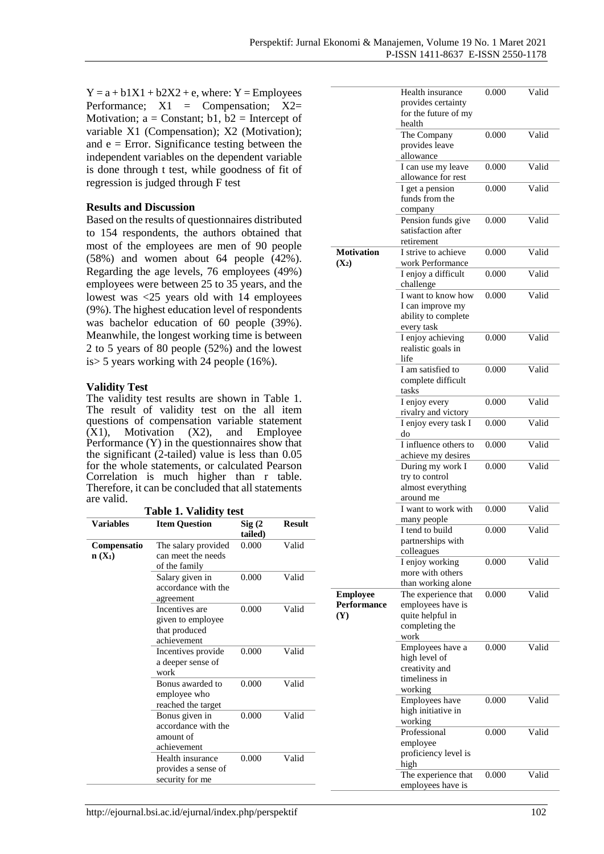$Y = a + b1X1 + b2X2 + e$ , where:  $Y =$ Employees Performance;  $X1 =$  Compensation;  $X2=$ Motivation;  $a =$ Constant; b1, b2 = Intercept of variable X1 (Compensation); X2 (Motivation); and  $e = Error$ . Significance testing between the independent variables on the dependent variable is done through t test, while goodness of fit of regression is judged through F test

#### **Results and Discussion**

Based on the results of questionnaires distributed to 154 respondents, the authors obtained that most of the employees are men of 90 people (58%) and women about 64 people (42%). Regarding the age levels, 76 employees (49%) employees were between 25 to 35 years, and the lowest was <25 years old with 14 employees (9%). The highest education level of respondents was bachelor education of 60 people (39%). Meanwhile, the longest working time is between 2 to 5 years of 80 people (52%) and the lowest is> 5 years working with 24 people (16%).

#### **Validity Test**

The validity test results are shown in Table 1. The result of validity test on the all item questions of compensation variable statement  $(X1)$ , Motivation  $(X2)$ , and Employee Performance (Y) in the questionnaires show that the significant (2-tailed) value is less than 0.05 for the whole statements, or calculated Pearson Correlation is much higher than r table. Therefore, it can be concluded that all statements are valid.

| <b>Variables</b>        | <b>Item Question</b>                                                | $\mathrm{Sig}\left( 2\right)$<br>tailed) | <b>Result</b> |  |
|-------------------------|---------------------------------------------------------------------|------------------------------------------|---------------|--|
| Compensatio<br>$n(X_1)$ | The salary provided<br>can meet the needs<br>of the family          | 0.000                                    | Valid         |  |
|                         | Salary given in<br>accordance with the<br>agreement                 | 0.000                                    | Valid         |  |
|                         | Incentives are<br>given to employee<br>that produced<br>achievement | 0.000                                    | Valid         |  |
|                         | Incentives provide<br>a deeper sense of<br>work                     | 0.000                                    | Valid         |  |
|                         | Bonus awarded to<br>employee who<br>reached the target              | 0.000                                    | Valid         |  |
|                         | Bonus given in<br>accordance with the<br>amount of<br>achievement   | 0.000                                    | Valid         |  |
|                         | Health insurance<br>provides a sense of<br>security for me          | 0.000                                    | Valid         |  |

|                                              | Health insurance<br>provides certainty                                                 | 0.000 | Valid |
|----------------------------------------------|----------------------------------------------------------------------------------------|-------|-------|
|                                              | for the future of my<br>health                                                         |       |       |
|                                              | The Company<br>provides leave                                                          | 0.000 | Valid |
|                                              | allowance                                                                              |       |       |
|                                              | I can use my leave<br>allowance for rest                                               | 0.000 | Valid |
|                                              | I get a pension<br>funds from the<br>company                                           | 0.000 | Valid |
|                                              | Pension funds give<br>satisfaction after<br>retirement                                 | 0.000 | Valid |
| Motivation<br>$(X_2)$                        | I strive to achieve<br>work Performance                                                | 0.000 | Valid |
|                                              | I enjoy a difficult<br>challenge                                                       | 0.000 | Valid |
|                                              | I want to know how<br>I can improve my<br>ability to complete<br>every task            | 0.000 | Valid |
|                                              | I enjoy achieving<br>realistic goals in<br>life                                        | 0.000 | Valid |
|                                              | I am satisfied to<br>complete difficult<br>tasks                                       | 0.000 | Valid |
|                                              | I enjoy every<br>rivalry and victory                                                   | 0.000 | Valid |
|                                              | I enjoy every task I<br>do                                                             | 0.000 | Valid |
|                                              | I influence others to<br>achieve my desires                                            | 0.000 | Valid |
|                                              | During my work I<br>try to control<br>almost everything                                | 0.000 | Valid |
|                                              | around me<br>I want to work with                                                       | 0.000 | Valid |
|                                              | many people<br>I tend to build<br>partnerships with                                    | 0.000 | Valid |
|                                              | colleagues<br>I enjoy working<br>more with others<br>than working alone                | 0.000 | Valid |
| <b>Employee</b><br>Performance<br><b>(Y)</b> | The experience that<br>employees have is<br>quite helpful in<br>completing the<br>work | 0.000 | Valid |
|                                              | Employees have a<br>high level of<br>creativity and<br>timeliness in                   | 0.000 | Valid |
|                                              | working                                                                                |       |       |
|                                              | Employees have<br>high initiative in                                                   | 0.000 | Valid |
|                                              | working<br>Professional                                                                | 0.000 | Valid |
|                                              | employee<br>proficiency level is<br>high                                               |       |       |
|                                              | The experience that<br>employees have is                                               | 0.000 | Valid |
|                                              |                                                                                        |       |       |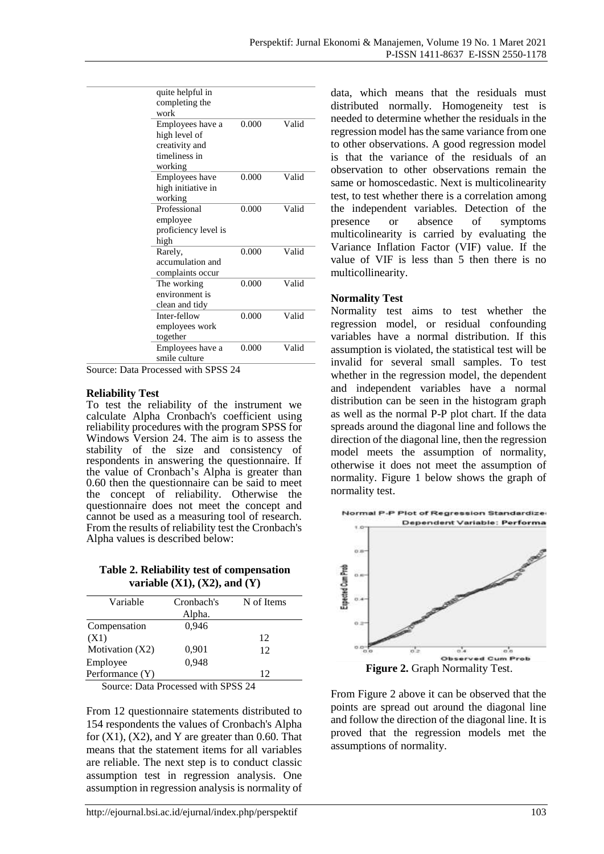| quite helpful in<br>completing the<br>work<br>0.000<br>Valid<br>Employees have a<br>high level of<br>creativity and<br>timeliness in<br>working<br>Valid<br>0.000<br>Employees have<br>high initiative in<br>working<br>Professional<br>0.000<br>Valid<br>employee<br>proficiency level is<br>high<br>Valid<br>0.000<br>Rarely,<br>accumulation and<br>complaints occur<br>Valid<br>0.000<br>The working<br>environment is<br>clean and tidy<br>Inter-fellow<br>0.000<br>Valid<br>employees work<br>together<br>Valid<br>Employees have a<br>0.000<br>smile culture |  |  |
|---------------------------------------------------------------------------------------------------------------------------------------------------------------------------------------------------------------------------------------------------------------------------------------------------------------------------------------------------------------------------------------------------------------------------------------------------------------------------------------------------------------------------------------------------------------------|--|--|
|                                                                                                                                                                                                                                                                                                                                                                                                                                                                                                                                                                     |  |  |
|                                                                                                                                                                                                                                                                                                                                                                                                                                                                                                                                                                     |  |  |
|                                                                                                                                                                                                                                                                                                                                                                                                                                                                                                                                                                     |  |  |
|                                                                                                                                                                                                                                                                                                                                                                                                                                                                                                                                                                     |  |  |
|                                                                                                                                                                                                                                                                                                                                                                                                                                                                                                                                                                     |  |  |
|                                                                                                                                                                                                                                                                                                                                                                                                                                                                                                                                                                     |  |  |
|                                                                                                                                                                                                                                                                                                                                                                                                                                                                                                                                                                     |  |  |
|                                                                                                                                                                                                                                                                                                                                                                                                                                                                                                                                                                     |  |  |

Source: Data Processed with SPSS 24

#### **Reliability Test**

To test the reliability of the instrument we calculate Alpha Cronbach's coefficient using reliability procedures with the program SPSS for Windows Version 24. The aim is to assess the stability of the size and consistency of respondents in answering the questionnaire. If the value of Cronbach's Alpha is greater than 0.60 then the questionnaire can be said to meet the concept of reliability. Otherwise the questionnaire does not meet the concept and cannot be used as a measuring tool of research. From the results of reliability test the Cronbach's Alpha values is described below:

**Table 2. Reliability test of compensation variable (X1), (X2), and (Y)**

| Variable          | Cronbach's | N of Items |  |
|-------------------|------------|------------|--|
|                   | Alpha.     |            |  |
| Compensation      | 0,946      |            |  |
| (X1)              |            | 12         |  |
| Motivation $(X2)$ | 0,901      | 12         |  |
| Employee          | 0.948      |            |  |
| Performance (Y)   |            | 12         |  |
|                   |            |            |  |

Source: Data Processed with SPSS 24

From 12 questionnaire statements distributed to 154 respondents the values of Cronbach's Alpha for  $(X1)$ ,  $(X2)$ , and Y are greater than 0.60. That means that the statement items for all variables are reliable. The next step is to conduct classic assumption test in regression analysis. One assumption in regression analysis is normality of data, which means that the residuals must distributed normally. Homogeneity test is needed to determine whether the residuals in the regression model has the same variance from one to other observations. A good regression model is that the variance of the residuals of an observation to other observations remain the same or homoscedastic. Next is multicolinearity test, to test whether there is a correlation among the independent variables. Detection of the presence or absence of symptoms multicolinearity is carried by evaluating the Variance Inflation Factor (VIF) value. If the value of VIF is less than 5 then there is no multicollinearity.

#### **Normality Test**

Normality test aims to test whether the regression model, or residual confounding variables have a normal distribution. If this assumption is violated, the statistical test will be invalid for several small samples. To test whether in the regression model, the dependent and independent variables have a normal distribution can be seen in the histogram graph as well as the normal P-P plot chart. If the data spreads around the diagonal line and follows the direction of the diagonal line, then the regression model meets the assumption of normality, otherwise it does not meet the assumption of normality. Figure 1 below shows the graph of normality test.



**Figure 2.** Graph Normality Test.

From Figure 2 above it can be observed that the points are spread out around the diagonal line and follow the direction of the diagonal line. It is proved that the regression models met the assumptions of normality.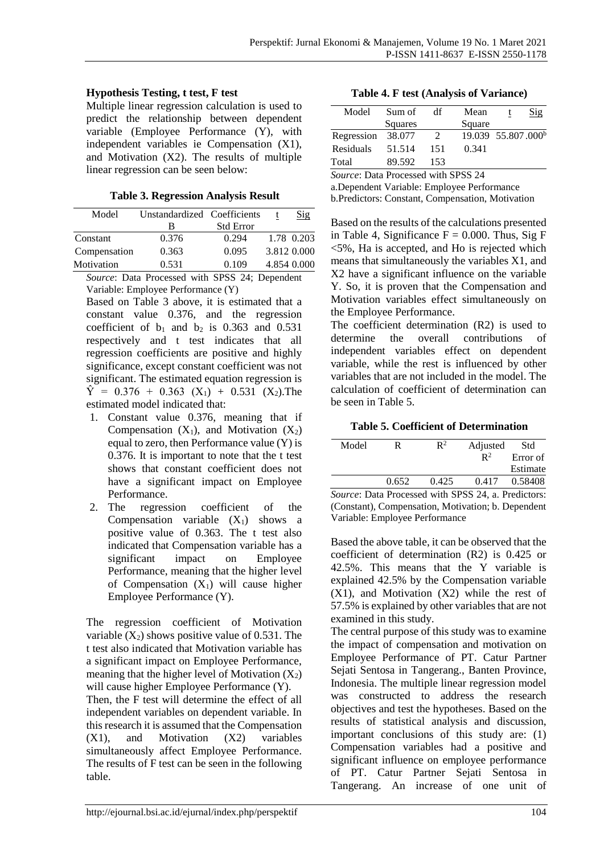# **Hypothesis Testing, t test, F test**

Multiple linear regression calculation is used to predict the relationship between dependent variable (Employee Performance (Y), with independent variables ie Compensation (X1), and Motivation (X2). The results of multiple linear regression can be seen below:

**Table 3. Regression Analysis Result**

| Model        | Unstandardized Coefficients |                  | Sig         |
|--------------|-----------------------------|------------------|-------------|
|              | В                           | <b>Std Error</b> |             |
| Constant     | 0.376                       | 0.294            | 1.78 0.203  |
| Compensation | 0.363                       | 0.095            | 3.812 0.000 |
| Motivation   | 0.531                       | 0.109            | 4.854 0.000 |
|              |                             |                  |             |

*Source*: Data Processed with SPSS 24; Dependent Variable: Employee Performance (Y)

Based on Table 3 above, it is estimated that a constant value 0.376, and the regression coefficient of  $b_1$  and  $b_2$  is 0.363 and 0.531 respectively and t test indicates that all regression coefficients are positive and highly significance, except constant coefficient was not significant. The estimated equation regression is  $\hat{Y}$  = 0.376 + 0.363 (X<sub>1</sub>) + 0.531 (X<sub>2</sub>). The estimated model indicated that:

- 1. Constant value 0.376, meaning that if Compensation  $(X_1)$ , and Motivation  $(X_2)$ equal to zero, then Performance value (Y) is 0.376. It is important to note that the t test shows that constant coefficient does not have a significant impact on Employee Performance.
- 2. The regression coefficient of the Compensation variable  $(X_1)$  shows a positive value of 0.363. The t test also indicated that Compensation variable has a significant impact on Employee Performance, meaning that the higher level of Compensation  $(X_1)$  will cause higher Employee Performance (Y).

The regression coefficient of Motivation variable  $(X_2)$  shows positive value of 0.531. The t test also indicated that Motivation variable has a significant impact on Employee Performance, meaning that the higher level of Motivation  $(X_2)$ will cause higher Employee Performance (Y). Then, the F test will determine the effect of all independent variables on dependent variable. In this research it is assumed that the Compensation (X1), and Motivation (X2) variables simultaneously affect Employee Performance. The results of F test can be seen in the following table.

**Table 4. F test (Analysis of Variance)**

| Model      | Sum of  | df  | Mean                           | Sig |
|------------|---------|-----|--------------------------------|-----|
|            | Squares |     | Square                         |     |
| Regression | 38.077  |     | 19.039 55.807.000 <sup>b</sup> |     |
| Residuals  | 51.514  | 151 | 0.341                          |     |
| Total      | 89.592  | 153 |                                |     |
|            |         |     |                                |     |

*Source*: Data Processed with SPSS 24

a.Dependent Variable: Employee Performance b.Predictors: Constant, Compensation, Motivation

Based on the results of the calculations presented in Table 4, Significance  $F = 0.000$ . Thus, Sig F <5%, Ha is accepted, and Ho is rejected which means that simultaneously the variables X1, and X2 have a significant influence on the variable Y. So, it is proven that the Compensation and Motivation variables effect simultaneously on the Employee Performance.

The coefficient determination (R2) is used to determine the overall contributions of independent variables effect on dependent variable, while the rest is influenced by other variables that are not included in the model. The calculation of coefficient of determination can be seen in Table 5.

**Table 5. Coefficient of Determination**

| Model   | R     | $\mathbf{R}^2$ | Adjusted       | Std      |
|---------|-------|----------------|----------------|----------|
|         |       |                | $\mathbb{R}^2$ | Error of |
|         |       |                |                | Estimate |
|         | 0.652 | 0.425          | 0.417          | 0.58408  |
| <br>$-$ |       |                | $-$            |          |

*Source*: Data Processed with SPSS 24, a. Predictors: (Constant), Compensation, Motivation; b. Dependent Variable: Employee Performance

Based the above table, it can be observed that the coefficient of determination (R2) is 0.425 or 42.5%. This means that the Y variable is explained 42.5% by the Compensation variable  $(X1)$ , and Motivation  $(X2)$  while the rest of 57.5% is explained by other variables that are not examined in this study.

The central purpose of this study was to examine the impact of compensation and motivation on Employee Performance of PT. Catur Partner Sejati Sentosa in Tangerang., Banten Province, Indonesia. The multiple linear regression model was constructed to address the research objectives and test the hypotheses. Based on the results of statistical analysis and discussion, important conclusions of this study are: (1) Compensation variables had a positive and significant influence on employee performance of PT. Catur Partner Sejati Sentosa in Tangerang. An increase of one unit of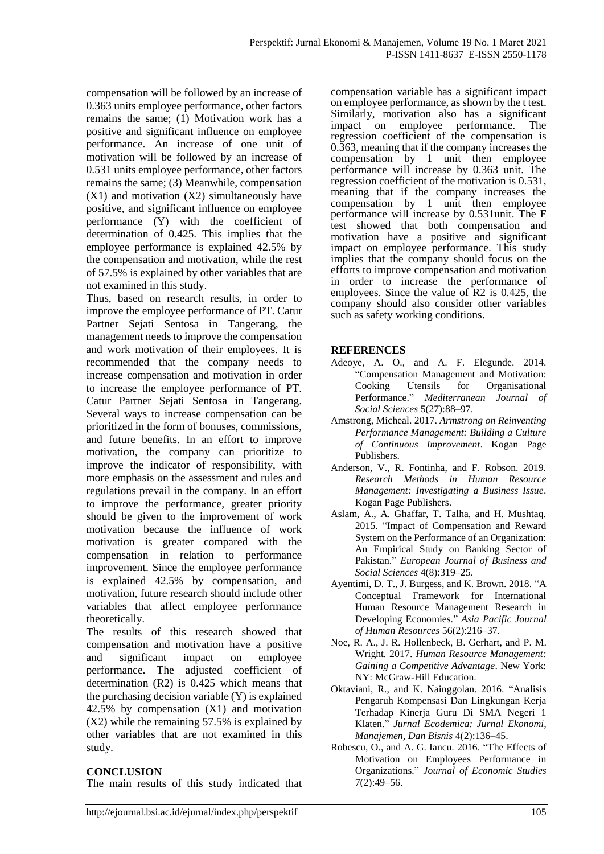compensation will be followed by an increase of 0.363 units employee performance, other factors remains the same; (1) Motivation work has a positive and significant influence on employee performance. An increase of one unit of motivation will be followed by an increase of 0.531 units employee performance, other factors remains the same; (3) Meanwhile, compensation  $(X1)$  and motivation  $(X2)$  simultaneously have positive, and significant influence on employee performance (Y) with the coefficient of determination of 0.425. This implies that the employee performance is explained 42.5% by the compensation and motivation, while the rest of 57.5% is explained by other variables that are not examined in this study.

Thus, based on research results, in order to improve the employee performance of PT. Catur Partner Sejati Sentosa in Tangerang, the management needs to improve the compensation and work motivation of their employees. It is recommended that the company needs to increase compensation and motivation in order to increase the employee performance of PT. Catur Partner Sejati Sentosa in Tangerang. Several ways to increase compensation can be prioritized in the form of bonuses, commissions, and future benefits. In an effort to improve motivation, the company can prioritize to improve the indicator of responsibility, with more emphasis on the assessment and rules and regulations prevail in the company. In an effort to improve the performance, greater priority should be given to the improvement of work motivation because the influence of work motivation is greater compared with the compensation in relation to performance improvement. Since the employee performance is explained 42.5% by compensation, and motivation, future research should include other variables that affect employee performance theoretically.

The results of this research showed that compensation and motivation have a positive and significant impact on employee performance. The adjusted coefficient of determination (R2) is 0.425 which means that the purchasing decision variable (Y) is explained 42.5% by compensation (X1) and motivation (X2) while the remaining 57.5% is explained by other variables that are not examined in this study.

#### **CONCLUSION**

The main results of this study indicated that

compensation variable has a significant impact on employee performance, as shown by the t test. Similarly, motivation also has a significant impact on employee performance. The regression coefficient of the compensation is 0.363, meaning that if the company increases the compensation by 1 unit then employee performance will increase by 0.363 unit. The regression coefficient of the motivation is 0.531, meaning that if the company increases the compensation by 1 unit then employee performance will increase by 0.531unit. The F test showed that both compensation and motivation have a positive and significant impact on employee performance. This study implies that the company should focus on the efforts to improve compensation and motivation in order to increase the performance of employees. Since the value of R2 is 0.425, the company should also consider other variables such as safety working conditions.

# **REFERENCES**

- Adeoye, A. O., and A. F. Elegunde. 2014. "Compensation Management and Motivation: Cooking Utensils for Organisational Performance." *Mediterranean Journal of Social Sciences* 5(27):88–97.
- Amstrong, Micheal. 2017. *Armstrong on Reinventing Performance Management: Building a Culture of Continuous Improvement*. Kogan Page Publishers.
- Anderson, V., R. Fontinha, and F. Robson. 2019. *Research Methods in Human Resource Management: Investigating a Business Issue*. Kogan Page Publishers.
- Aslam, A., A. Ghaffar, T. Talha, and H. Mushtaq. 2015. "Impact of Compensation and Reward System on the Performance of an Organization: An Empirical Study on Banking Sector of Pakistan." *European Journal of Business and Social Sciences* 4(8):319–25.
- Ayentimi, D. T., J. Burgess, and K. Brown. 2018. "A Conceptual Framework for International Human Resource Management Research in Developing Economies." *Asia Pacific Journal of Human Resources* 56(2):216–37.
- Noe, R. A., J. R. Hollenbeck, B. Gerhart, and P. M. Wright. 2017. *Human Resource Management: Gaining a Competitive Advantage*. New York: NY: McGraw-Hill Education.
- Oktaviani, R., and K. Nainggolan. 2016. "Analisis Pengaruh Kompensasi Dan Lingkungan Kerja Terhadap Kinerja Guru Di SMA Negeri 1 Klaten." *Jurnal Ecodemica: Jurnal Ekonomi, Manajemen, Dan Bisnis* 4(2):136–45.
- Robescu, O., and A. G. Iancu. 2016. "The Effects of Motivation on Employees Performance in Organizations." *Journal of Economic Studies* 7(2):49–56.